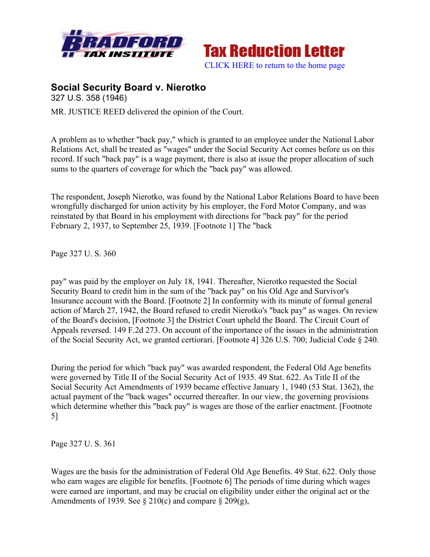



## **Social Security Board v. Nierotko**

327 U.S. 358 (1946)

MR. JUSTICE REED delivered the opinion of the Court.

A problem as to whether "back pay," which is granted to an employee under the National Labor Relations Act, shall be treated as "wages" under the Social Security Act comes before us on this record. If such "back pay" is a wage payment, there is also at issue the proper allocation of such sums to the quarters of coverage for which the "back pay" was allowed.

The respondent, Joseph Nierotko, was found by the National Labor Relations Board to have been wrongfully discharged for union activity by his employer, the Ford Motor Company, and was reinstated by that Board in his employment with directions for "back pay" for the period February 2, 1937, to September 25, 1939. [Footnote 1] The "back

Page 327 U. S. 360

pay" was paid by the employer on July 18, 1941. Thereafter, Nierotko requested the Social Security Board to credit him in the sum of the "back pay" on his Old Age and Survivor's Insurance account with the Board. [Footnote 2] In conformity with its minute of formal general action of March 27, 1942, the Board refused to credit Nierotko's "back pay" as wages. On review of the Board's decision, [Footnote 3] the District Court upheld the Board. The Circuit Court of Appeals reversed. 149 F.2d 273. On account of the importance of the issues in the administration of the Social Security Act, we granted certiorari. [Footnote 4] 326 U.S. 700; Judicial Code § 240.

During the period for which "back pay" was awarded respondent, the Federal Old Age benefits were governed by Title II of the Social Security Act of 1935. 49 Stat. 622. As Title II of the Social Security Act Amendments of 1939 became effective January 1, 1940 (53 Stat. 1362), the actual payment of the "back wages" occurred thereafter. In our view, the governing provisions which determine whether this "back pay" is wages are those of the earlier enactment. [Footnote 5]

Page 327 U. S. 361

Wages are the basis for the administration of Federal Old Age Benefits. 49 Stat. 622. Only those who earn wages are eligible for benefits. [Footnote 6] The periods of time during which wages were earned are important, and may be crucial on eligibility under either the original act or the Amendments of 1939. See  $\S 210(c)$  and compare  $\S 209(g)$ ,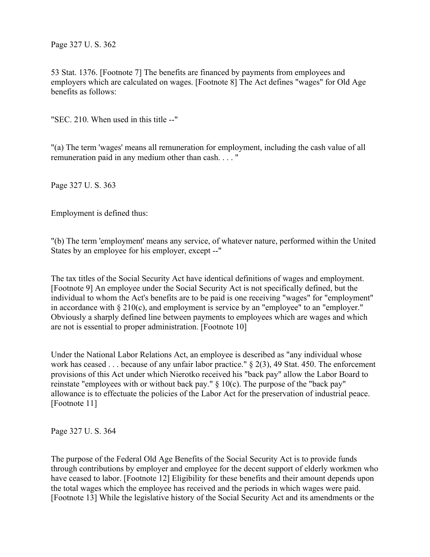Page 327 U. S. 362

53 Stat. 1376. [Footnote 7] The benefits are financed by payments from employees and employers which are calculated on wages. [Footnote 8] The Act defines "wages" for Old Age benefits as follows:

"SEC. 210. When used in this title --"

"(a) The term 'wages' means all remuneration for employment, including the cash value of all remuneration paid in any medium other than cash. . . . "

Page 327 U. S. 363

Employment is defined thus:

"(b) The term 'employment' means any service, of whatever nature, performed within the United States by an employee for his employer, except --"

The tax titles of the Social Security Act have identical definitions of wages and employment. [Footnote 9] An employee under the Social Security Act is not specifically defined, but the individual to whom the Act's benefits are to be paid is one receiving "wages" for "employment" in accordance with  $\S 210(c)$ , and employment is service by an "employee" to an "employer." Obviously a sharply defined line between payments to employees which are wages and which are not is essential to proper administration. [Footnote 10]

Under the National Labor Relations Act, an employee is described as "any individual whose work has ceased . . . because of any unfair labor practice." § 2(3), 49 Stat. 450. The enforcement provisions of this Act under which Nierotko received his "back pay" allow the Labor Board to reinstate "employees with or without back pay."  $\S$  10(c). The purpose of the "back pay" allowance is to effectuate the policies of the Labor Act for the preservation of industrial peace. [Footnote 11]

Page 327 U. S. 364

The purpose of the Federal Old Age Benefits of the Social Security Act is to provide funds through contributions by employer and employee for the decent support of elderly workmen who have ceased to labor. [Footnote 12] Eligibility for these benefits and their amount depends upon the total wages which the employee has received and the periods in which wages were paid. [Footnote 13] While the legislative history of the Social Security Act and its amendments or the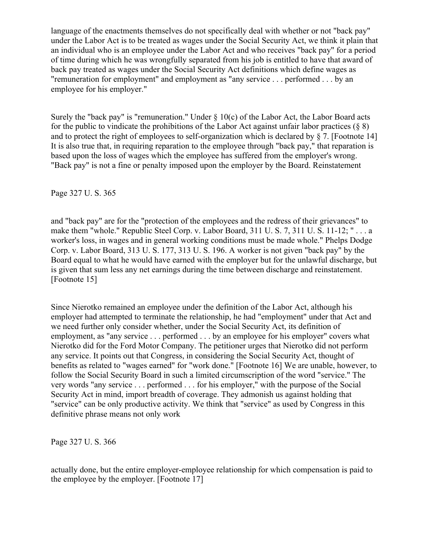language of the enactments themselves do not specifically deal with whether or not "back pay" under the Labor Act is to be treated as wages under the Social Security Act, we think it plain that an individual who is an employee under the Labor Act and who receives "back pay" for a period of time during which he was wrongfully separated from his job is entitled to have that award of back pay treated as wages under the Social Security Act definitions which define wages as "remuneration for employment" and employment as "any service . . . performed . . . by an employee for his employer."

Surely the "back pay" is "remuneration." Under  $\S$  10(c) of the Labor Act, the Labor Board acts for the public to vindicate the prohibitions of the Labor Act against unfair labor practices  $(\S 8)$ and to protect the right of employees to self-organization which is declared by  $\S 7$ . [Footnote 14] It is also true that, in requiring reparation to the employee through "back pay," that reparation is based upon the loss of wages which the employee has suffered from the employer's wrong. "Back pay" is not a fine or penalty imposed upon the employer by the Board. Reinstatement

Page 327 U. S. 365

and "back pay" are for the "protection of the employees and the redress of their grievances" to make them "whole." Republic Steel Corp. v. Labor Board, 311 U. S. 7, 311 U. S. 11-12; "...a worker's loss, in wages and in general working conditions must be made whole." Phelps Dodge Corp. v. Labor Board, 313 U. S. 177, 313 U. S. 196. A worker is not given "back pay" by the Board equal to what he would have earned with the employer but for the unlawful discharge, but is given that sum less any net earnings during the time between discharge and reinstatement. [Footnote 15]

Since Nierotko remained an employee under the definition of the Labor Act, although his employer had attempted to terminate the relationship, he had "employment" under that Act and we need further only consider whether, under the Social Security Act, its definition of employment, as "any service . . . performed . . . by an employee for his employer" covers what Nierotko did for the Ford Motor Company. The petitioner urges that Nierotko did not perform any service. It points out that Congress, in considering the Social Security Act, thought of benefits as related to "wages earned" for "work done." [Footnote 16] We are unable, however, to follow the Social Security Board in such a limited circumscription of the word "service." The very words "any service . . . performed . . . for his employer," with the purpose of the Social Security Act in mind, import breadth of coverage. They admonish us against holding that "service" can be only productive activity. We think that "service" as used by Congress in this definitive phrase means not only work

Page 327 U. S. 366

actually done, but the entire employer-employee relationship for which compensation is paid to the employee by the employer. [Footnote 17]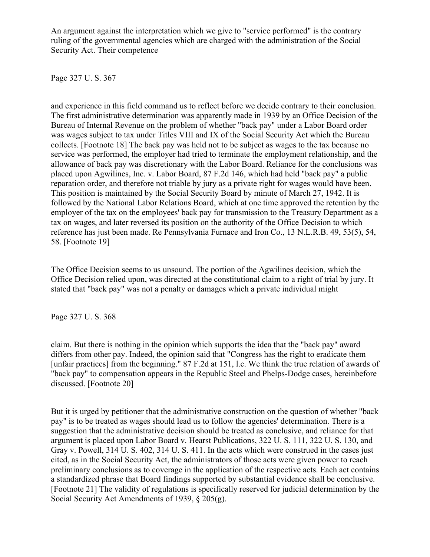An argument against the interpretation which we give to "service performed" is the contrary ruling of the governmental agencies which are charged with the administration of the Social Security Act. Their competence

Page 327 U. S. 367

and experience in this field command us to reflect before we decide contrary to their conclusion. The first administrative determination was apparently made in 1939 by an Office Decision of the Bureau of Internal Revenue on the problem of whether "back pay" under a Labor Board order was wages subject to tax under Titles VIII and IX of the Social Security Act which the Bureau collects. [Footnote 18] The back pay was held not to be subject as wages to the tax because no service was performed, the employer had tried to terminate the employment relationship, and the allowance of back pay was discretionary with the Labor Board. Reliance for the conclusions was placed upon Agwilines, Inc. v. Labor Board, 87 F.2d 146, which had held "back pay" a public reparation order, and therefore not triable by jury as a private right for wages would have been. This position is maintained by the Social Security Board by minute of March 27, 1942. It is followed by the National Labor Relations Board, which at one time approved the retention by the employer of the tax on the employees' back pay for transmission to the Treasury Department as a tax on wages, and later reversed its position on the authority of the Office Decision to which reference has just been made. Re Pennsylvania Furnace and Iron Co., 13 N.L.R.B. 49, 53(5), 54, 58. [Footnote 19]

The Office Decision seems to us unsound. The portion of the Agwilines decision, which the Office Decision relied upon, was directed at the constitutional claim to a right of trial by jury. It stated that "back pay" was not a penalty or damages which a private individual might

Page 327 U. S. 368

claim. But there is nothing in the opinion which supports the idea that the "back pay" award differs from other pay. Indeed, the opinion said that "Congress has the right to eradicate them [unfair practices] from the beginning." 87 F.2d at 151, l.c. We think the true relation of awards of "back pay" to compensation appears in the Republic Steel and Phelps-Dodge cases, hereinbefore discussed. [Footnote 20]

But it is urged by petitioner that the administrative construction on the question of whether "back pay" is to be treated as wages should lead us to follow the agencies' determination. There is a suggestion that the administrative decision should be treated as conclusive, and reliance for that argument is placed upon Labor Board v. Hearst Publications, 322 U. S. 111, 322 U. S. 130, and Gray v. Powell, 314 U. S. 402, 314 U. S. 411. In the acts which were construed in the cases just cited, as in the Social Security Act, the administrators of those acts were given power to reach preliminary conclusions as to coverage in the application of the respective acts. Each act contains a standardized phrase that Board findings supported by substantial evidence shall be conclusive. [Footnote 21] The validity of regulations is specifically reserved for judicial determination by the Social Security Act Amendments of 1939, § 205(g).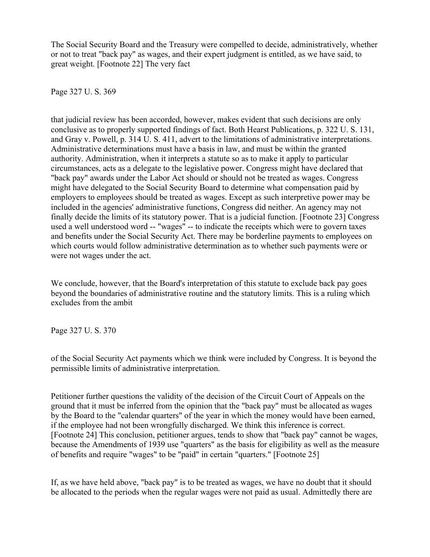The Social Security Board and the Treasury were compelled to decide, administratively, whether or not to treat "back pay" as wages, and their expert judgment is entitled, as we have said, to great weight. [Footnote 22] The very fact

Page 327 U. S. 369

that judicial review has been accorded, however, makes evident that such decisions are only conclusive as to properly supported findings of fact. Both Hearst Publications, p. 322 U. S. 131, and Gray v. Powell, p. 314 U. S. 411, advert to the limitations of administrative interpretations. Administrative determinations must have a basis in law, and must be within the granted authority. Administration, when it interprets a statute so as to make it apply to particular circumstances, acts as a delegate to the legislative power. Congress might have declared that "back pay" awards under the Labor Act should or should not be treated as wages. Congress might have delegated to the Social Security Board to determine what compensation paid by employers to employees should be treated as wages. Except as such interpretive power may be included in the agencies' administrative functions, Congress did neither. An agency may not finally decide the limits of its statutory power. That is a judicial function. [Footnote 23] Congress used a well understood word -- "wages" -- to indicate the receipts which were to govern taxes and benefits under the Social Security Act. There may be borderline payments to employees on which courts would follow administrative determination as to whether such payments were or were not wages under the act.

We conclude, however, that the Board's interpretation of this statute to exclude back pay goes beyond the boundaries of administrative routine and the statutory limits. This is a ruling which excludes from the ambit

Page 327 U. S. 370

of the Social Security Act payments which we think were included by Congress. It is beyond the permissible limits of administrative interpretation.

Petitioner further questions the validity of the decision of the Circuit Court of Appeals on the ground that it must be inferred from the opinion that the "back pay" must be allocated as wages by the Board to the "calendar quarters" of the year in which the money would have been earned, if the employee had not been wrongfully discharged. We think this inference is correct. [Footnote 24] This conclusion, petitioner argues, tends to show that "back pay" cannot be wages, because the Amendments of 1939 use "quarters" as the basis for eligibility as well as the measure of benefits and require "wages" to be "paid" in certain "quarters." [Footnote 25]

If, as we have held above, "back pay" is to be treated as wages, we have no doubt that it should be allocated to the periods when the regular wages were not paid as usual. Admittedly there are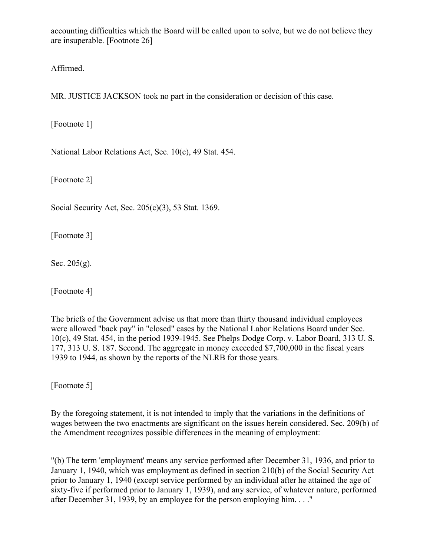accounting difficulties which the Board will be called upon to solve, but we do not believe they are insuperable. [Footnote 26]

Affirmed.

MR. JUSTICE JACKSON took no part in the consideration or decision of this case.

[Footnote 1]

National Labor Relations Act, Sec. 10(c), 49 Stat. 454.

[Footnote 2]

Social Security Act, Sec. 205(c)(3), 53 Stat. 1369.

[Footnote 3]

Sec.  $205(g)$ .

[Footnote 4]

The briefs of the Government advise us that more than thirty thousand individual employees were allowed "back pay" in "closed" cases by the National Labor Relations Board under Sec. 10(c), 49 Stat. 454, in the period 1939-1945. See Phelps Dodge Corp. v. Labor Board, 313 U. S. 177, 313 U. S. 187. Second. The aggregate in money exceeded \$7,700,000 in the fiscal years 1939 to 1944, as shown by the reports of the NLRB for those years.

[Footnote 5]

By the foregoing statement, it is not intended to imply that the variations in the definitions of wages between the two enactments are significant on the issues herein considered. Sec. 209(b) of the Amendment recognizes possible differences in the meaning of employment:

"(b) The term 'employment' means any service performed after December 31, 1936, and prior to January 1, 1940, which was employment as defined in section 210(b) of the Social Security Act prior to January 1, 1940 (except service performed by an individual after he attained the age of sixty-five if performed prior to January 1, 1939), and any service, of whatever nature, performed after December 31, 1939, by an employee for the person employing him. . . ."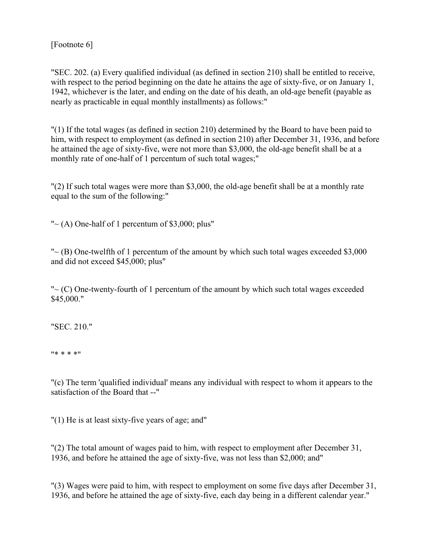[Footnote 6]

"SEC. 202. (a) Every qualified individual (as defined in section 210) shall be entitled to receive, with respect to the period beginning on the date he attains the age of sixty-five, or on January 1, 1942, whichever is the later, and ending on the date of his death, an old-age benefit (payable as nearly as practicable in equal monthly installments) as follows:"

"(1) If the total wages (as defined in section 210) determined by the Board to have been paid to him, with respect to employment (as defined in section 210) after December 31, 1936, and before he attained the age of sixty-five, were not more than \$3,000, the old-age benefit shall be at a monthly rate of one-half of 1 percentum of such total wages;"

"(2) If such total wages were more than \$3,000, the old-age benefit shall be at a monthly rate equal to the sum of the following:"

" $\sim$  (A) One-half of 1 percentum of \$3,000; plus"

" $\sim$  (B) One-twelfth of 1 percentum of the amount by which such total wages exceeded \$3,000 and did not exceed \$45,000; plus"

 $\sim$  (C) One-twenty-fourth of 1 percentum of the amount by which such total wages exceeded \$45,000."

"SEC. 210."

"\* \* \* \*"

"(c) The term 'qualified individual' means any individual with respect to whom it appears to the satisfaction of the Board that --"

"(1) He is at least sixty-five years of age; and"

"(2) The total amount of wages paid to him, with respect to employment after December 31, 1936, and before he attained the age of sixty-five, was not less than \$2,000; and"

"(3) Wages were paid to him, with respect to employment on some five days after December 31, 1936, and before he attained the age of sixty-five, each day being in a different calendar year."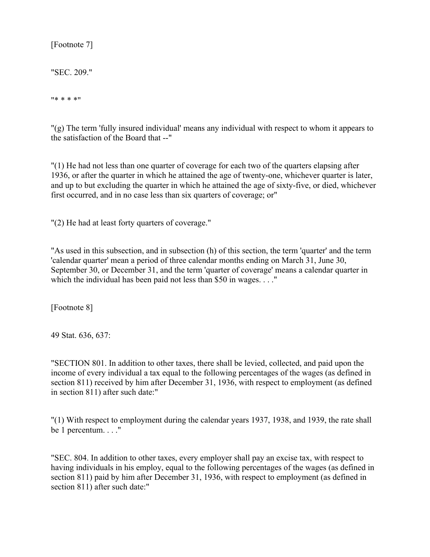[Footnote 7]

"SEC. 209."

"\* \* \* \*"

"(g) The term 'fully insured individual' means any individual with respect to whom it appears to the satisfaction of the Board that --"

"(1) He had not less than one quarter of coverage for each two of the quarters elapsing after 1936, or after the quarter in which he attained the age of twenty-one, whichever quarter is later, and up to but excluding the quarter in which he attained the age of sixty-five, or died, whichever first occurred, and in no case less than six quarters of coverage; or"

"(2) He had at least forty quarters of coverage."

"As used in this subsection, and in subsection (h) of this section, the term 'quarter' and the term 'calendar quarter' mean a period of three calendar months ending on March 31, June 30, September 30, or December 31, and the term 'quarter of coverage' means a calendar quarter in which the individual has been paid not less than \$50 in wages. . . . "

[Footnote 8]

49 Stat. 636, 637:

"SECTION 801. In addition to other taxes, there shall be levied, collected, and paid upon the income of every individual a tax equal to the following percentages of the wages (as defined in section 811) received by him after December 31, 1936, with respect to employment (as defined in section 811) after such date:"

"(1) With respect to employment during the calendar years 1937, 1938, and 1939, the rate shall be 1 percentum. . . ."

"SEC. 804. In addition to other taxes, every employer shall pay an excise tax, with respect to having individuals in his employ, equal to the following percentages of the wages (as defined in section 811) paid by him after December 31, 1936, with respect to employment (as defined in section 811) after such date:"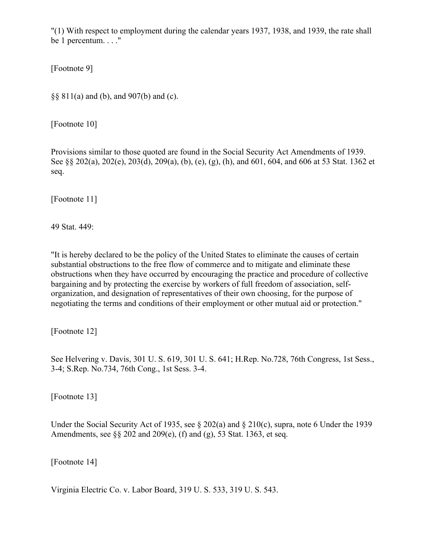"(1) With respect to employment during the calendar years 1937, 1938, and 1939, the rate shall be 1 percentum. . . . "

[Footnote 9]

§§ 811(a) and (b), and 907(b) and (c).

[Footnote 10]

Provisions similar to those quoted are found in the Social Security Act Amendments of 1939. See §§ 202(a), 202(e), 203(d), 209(a), (b), (e), (g), (h), and 601, 604, and 606 at 53 Stat. 1362 et seq.

[Footnote 11]

49 Stat. 449:

"It is hereby declared to be the policy of the United States to eliminate the causes of certain substantial obstructions to the free flow of commerce and to mitigate and eliminate these obstructions when they have occurred by encouraging the practice and procedure of collective bargaining and by protecting the exercise by workers of full freedom of association, selforganization, and designation of representatives of their own choosing, for the purpose of negotiating the terms and conditions of their employment or other mutual aid or protection."

[Footnote 12]

See Helvering v. Davis, 301 U. S. 619, 301 U. S. 641; H.Rep. No.728, 76th Congress, 1st Sess., 3-4; S.Rep. No.734, 76th Cong., 1st Sess. 3-4.

[Footnote 13]

Under the Social Security Act of 1935, see § 202(a) and § 210(c), supra, note 6 Under the 1939 Amendments, see §§ 202 and 209(e), (f) and (g), 53 Stat. 1363, et seq.

[Footnote 14]

Virginia Electric Co. v. Labor Board, 319 U. S. 533, 319 U. S. 543.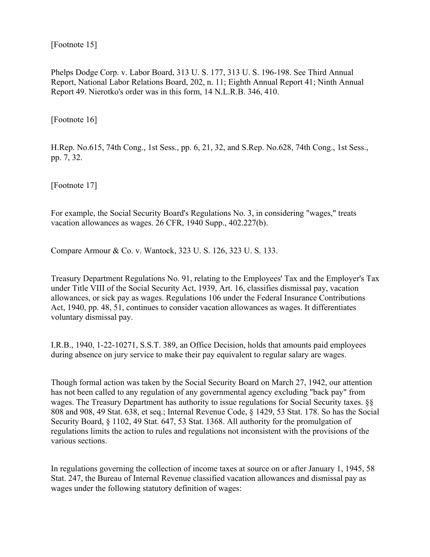[Footnote 15]

Phelps Dodge Corp. v. Labor Board, 313 U. S. 177, 313 U. S. 196-198. See Third Annual Report, National Labor Relations Board, 202, n. 11; Eighth Annual Report 41; Ninth Annual Report 49. Nierotko's order was in this form, 14 N.L.R.B. 346, 410.

[Footnote 16]

H.Rep. No.615, 74th Cong., 1st Sess., pp. 6, 21, 32, and S.Rep. No.628, 74th Cong., 1st Sess., pp. 7, 32.

[Footnote 17]

For example, the Social Security Board's Regulations No. 3, in considering "wages," treats vacation allowances as wages. 26 CFR, 1940 Supp., 402.227(b).

Compare Armour & Co. v. Wantock, 323 U. S. 126, 323 U. S. 133.

Treasury Department Regulations No. 91, relating to the Employees' Tax and the Employer's Tax under Title VIII of the Social Security Act, 1939, Art. 16, classifies dismissal pay, vacation allowances, or sick pay as wages. Regulations 106 under the Federal Insurance Contributions Act, 1940, pp. 48, 51, continues to consider vacation allowances as wages. It differentiates voluntary dismissal pay.

I.R.B., 1940, 1-22-10271, S.S.T. 389, an Office Decision, holds that amounts paid employees during absence on jury service to make their pay equivalent to regular salary are wages.

Though formal action was taken by the Social Security Board on March 27, 1942, our attention has not been called to any regulation of any governmental agency excluding "back pay" from wages. The Treasury Department has authority to issue regulations for Social Security taxes.  $\S$ 808 and 908, 49 Stat. 638, et seq.; Internal Revenue Code, § 1429, 53 Stat. 178. So has the Social Security Board, § 1102, 49 Stat. 647, 53 Stat. 1368. All authority for the promulgation of regulations limits the action to rules and regulations not inconsistent with the provisions of the various sections.

In regulations governing the collection of income taxes at source on or after January 1, 1945, 58 Stat. 247, the Bureau of Internal Revenue classified vacation allowances and dismissal pay as wages under the following statutory definition of wages: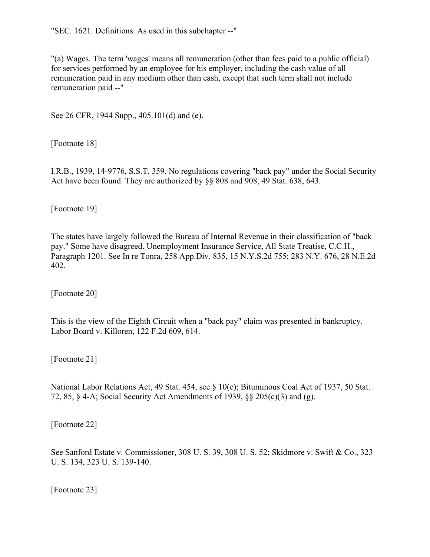"SEC. 1621. Definitions. As used in this subchapter --"

"(a) Wages. The term 'wages' means all remuneration (other than fees paid to a public official) for services performed by an employee for his employer, including the cash value of all remuneration paid in any medium other than cash, except that such term shall not include remuneration paid --"

See 26 CFR, 1944 Supp., 405.101(d) and (e).

[Footnote 18]

I.R.B., 1939, 14-9776, S.S.T. 359. No regulations covering "back pay" under the Social Security Act have been found. They are authorized by §§ 808 and 908, 49 Stat. 638, 643.

[Footnote 19]

The states have largely followed the Bureau of Internal Revenue in their classification of "back pay." Some have disagreed. Unemployment Insurance Service, All State Treatise, C.C.H., Paragraph 1201. See In re Tonra, 258 App.Div. 835, 15 N.Y.S.2d 755; 283 N.Y. 676, 28 N.E.2d 402.

[Footnote 20]

This is the view of the Eighth Circuit when a "back pay" claim was presented in bankruptcy. Labor Board v. Killoren, 122 F.2d 609, 614.

[Footnote 21]

National Labor Relations Act, 49 Stat. 454, see § 10(e); Bituminous Coal Act of 1937, 50 Stat. 72, 85, § 4-A; Social Security Act Amendments of 1939, §§ 205(c)(3) and (g).

[Footnote 22]

See Sanford Estate v. Commissioner, 308 U. S. 39, 308 U. S. 52; Skidmore v. Swift & Co., 323 U. S. 134, 323 U. S. 139-140.

[Footnote 23]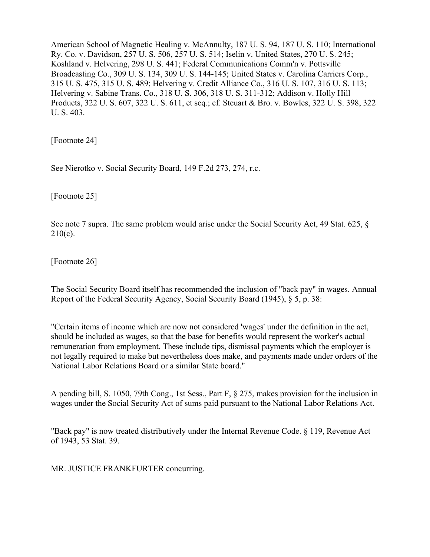American School of Magnetic Healing v. McAnnulty, 187 U. S. 94, 187 U. S. 110; International Ry. Co. v. Davidson, 257 U. S. 506, 257 U. S. 514; Iselin v. United States, 270 U. S. 245; Koshland v. Helvering, 298 U. S. 441; Federal Communications Comm'n v. Pottsville Broadcasting Co., 309 U. S. 134, 309 U. S. 144-145; United States v. Carolina Carriers Corp., 315 U. S. 475, 315 U. S. 489; Helvering v. Credit Alliance Co., 316 U. S. 107, 316 U. S. 113; Helvering v. Sabine Trans. Co., 318 U. S. 306, 318 U. S. 311-312; Addison v. Holly Hill Products, 322 U. S. 607, 322 U. S. 611, et seq.; cf. Steuart & Bro. v. Bowles, 322 U. S. 398, 322 U. S. 403.

[Footnote 24]

See Nierotko v. Social Security Board, 149 F.2d 273, 274, r.c.

[Footnote 25]

See note 7 supra. The same problem would arise under the Social Security Act, 49 Stat. 625, §  $210(c)$ .

[Footnote 26]

The Social Security Board itself has recommended the inclusion of "back pay" in wages. Annual Report of the Federal Security Agency, Social Security Board (1945), § 5, p. 38:

"Certain items of income which are now not considered 'wages' under the definition in the act, should be included as wages, so that the base for benefits would represent the worker's actual remuneration from employment. These include tips, dismissal payments which the employer is not legally required to make but nevertheless does make, and payments made under orders of the National Labor Relations Board or a similar State board."

A pending bill, S. 1050, 79th Cong., 1st Sess., Part F, § 275, makes provision for the inclusion in wages under the Social Security Act of sums paid pursuant to the National Labor Relations Act.

"Back pay" is now treated distributively under the Internal Revenue Code. § 119, Revenue Act of 1943, 53 Stat. 39.

MR. JUSTICE FRANKFURTER concurring.